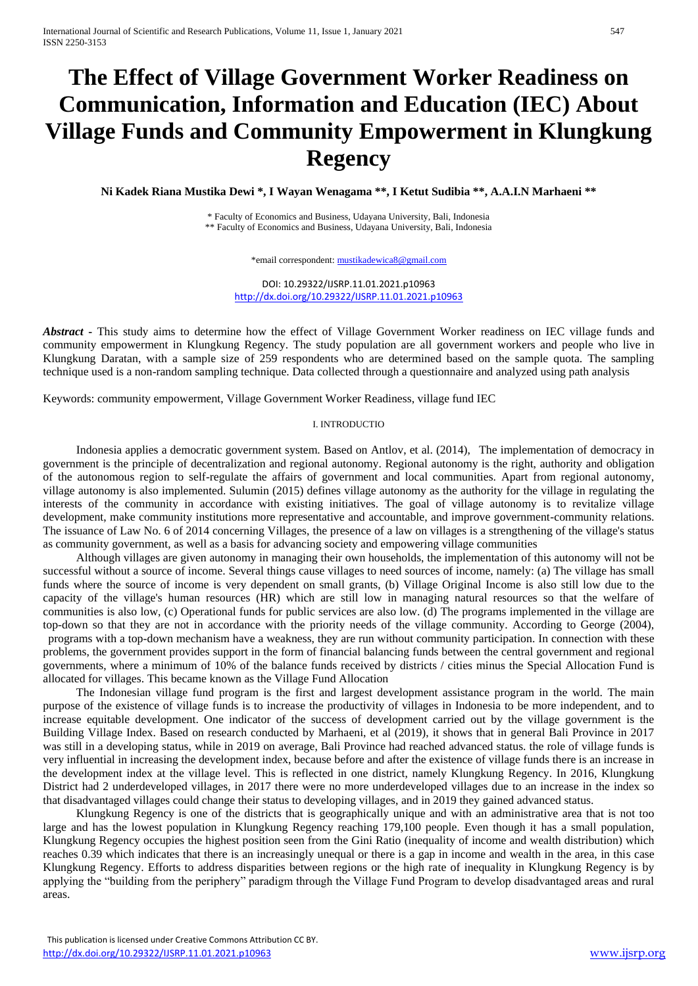# **The Effect of Village Government Worker Readiness on Communication, Information and Education (IEC) About Village Funds and Community Empowerment in Klungkung Regency**

**Ni Kadek Riana Mustika Dewi \*, I Wayan Wenagama \*\*, I Ketut Sudibia \*\*, A.A.I.N Marhaeni \*\***

\* Faculty of Economics and Business, Udayana University, Bali, Indonesia \*\* Faculty of Economics and Business, Udayana University, Bali, Indonesia

\*email correspondent[: mustikadewica8@gmail.com](mailto:mustikadewica8@gmail.com)

DOI: 10.29322/IJSRP.11.01.2021.p10963 <http://dx.doi.org/10.29322/IJSRP.11.01.2021.p10963>

*Abstract* **-** This study aims to determine how the effect of Village Government Worker readiness on IEC village funds and community empowerment in Klungkung Regency. The study population are all government workers and people who live in Klungkung Daratan, with a sample size of 259 respondents who are determined based on the sample quota. The sampling technique used is a non-random sampling technique. Data collected through a questionnaire and analyzed using path analysis

Keywords: community empowerment, Village Government Worker Readiness, village fund IEC

#### I. INTRODUCTIO

Indonesia applies a democratic government system. Based on Antlov, et al. (2014), "The implementation of democracy in government is the principle of decentralization and regional autonomy. Regional autonomy is the right, authority and obligation of the autonomous region to self-regulate the affairs of government and local communities. Apart from regional autonomy, village autonomy is also implemented. Sulumin (2015) defines village autonomy as the authority for the village in regulating the interests of the community in accordance with existing initiatives. The goal of village autonomy is to revitalize village development, make community institutions more representative and accountable, and improve government-community relations. The issuance of Law No. 6 of 2014 concerning Villages, the presence of a law on villages is a strengthening of the village's status as community government, as well as a basis for advancing society and empowering village communities.

Although villages are given autonomy in managing their own households, the implementation of this autonomy will not be successful without a source of income. Several things cause villages to need sources of income, namely: (a) The village has small funds where the source of income is very dependent on small grants, (b) Village Original Income is also still low due to the capacity of the village's human resources (HR) which are still low in managing natural resources so that the welfare of communities is also low, (c) Operational funds for public services are also low. (d) The programs implemented in the village are top-down so that they are not in accordance with the priority needs of the village community. According to George (2004), programs with a top-down mechanism have a weakness, they are run without community participation. In connection with these problems, the government provides support in the form of financial balancing funds between the central government and regional governments, where a minimum of 10% of the balance funds received by districts / cities minus the Special Allocation Fund is allocated for villages. This became known as the Village Fund Allocation"

The Indonesian village fund program is the first and largest development assistance program in the world. The main purpose of the existence of village funds is to increase the productivity of villages in Indonesia to be more independent, and to increase equitable development. One indicator of the success of development carried out by the village government is the Building Village Index. Based on research conducted by Marhaeni, et al (2019), it shows that in general Bali Province in 2017 was still in a developing status, while in 2019 on average, Bali Province had reached advanced status. the role of village funds is very influential in increasing the development index, because before and after the existence of village funds there is an increase in the development index at the village level. This is reflected in one district, namely Klungkung Regency. In 2016, Klungkung District had 2 underdeveloped villages, in 2017 there were no more underdeveloped villages due to an increase in the index so that disadvantaged villages could change their status to developing villages, and in 2019 they gained advanced status.

Klungkung Regency is one of the districts that is geographically unique and with an administrative area that is not too large and has the lowest population in Klungkung Regency reaching 179,100 people. Even though it has a small population, Klungkung Regency occupies the highest position seen from the Gini Ratio (inequality of income and wealth distribution) which reaches 0.39 which indicates that there is an increasingly unequal or there is a gap in income and wealth in the area, in this case Klungkung Regency. Efforts to address disparities between regions or the high rate of inequality in Klungkung Regency is by applying the "building from the periphery" paradigm through the Village Fund Program to develop disadvantaged areas and rural areas.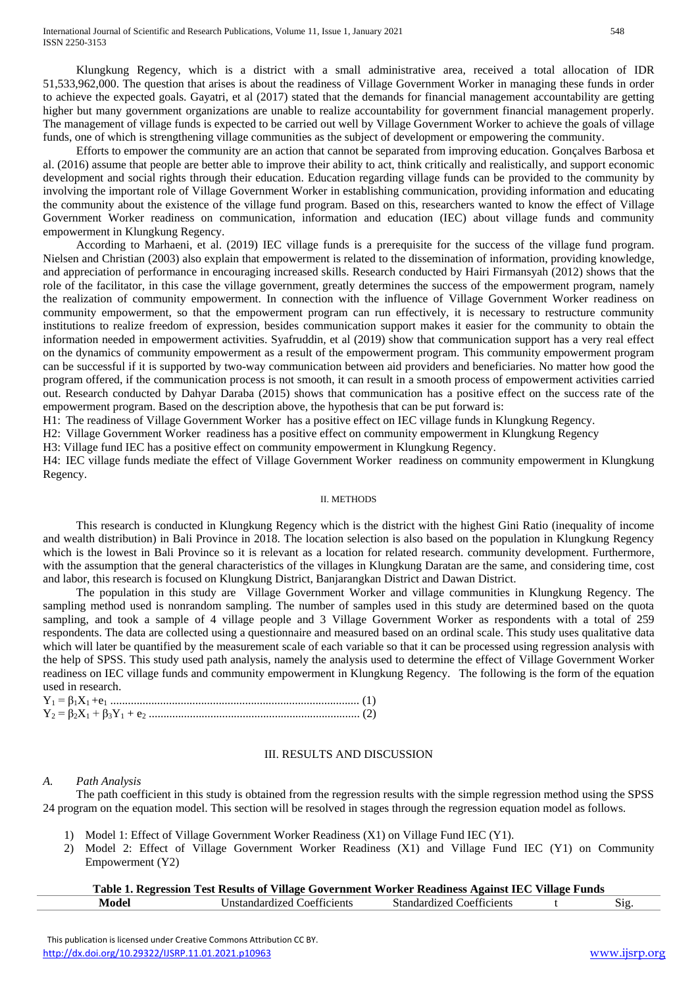Klungkung Regency, which is a district with a small administrative area, received a total allocation of IDR 51,533,962,000. The question that arises is about the readiness of Village Government Worker in managing these funds in order to achieve the expected goals. Gayatri, et al (2017) stated that the demands for financial management accountability are getting higher but many government organizations are unable to realize accountability for government financial management properly. The management of village funds is expected to be carried out well by Village Government Worker to achieve the goals of village funds, one of which is strengthening village communities as the subject of development or empowering the community.

Efforts to empower the community are an action that cannot be separated from improving education. Gonçalves Barbosa et al. (2016) assume that people are better able to improve their ability to act, think critically and realistically, and support economic development and social rights through their education. Education regarding village funds can be provided to the community by involving the important role of Village Government Worker in establishing communication, providing information and educating the community about the existence of the village fund program. Based on this, researchers wanted to know the effect of Village Government Worker readiness on communication, information and education (IEC) about village funds and community empowerment in Klungkung Regency.

According to Marhaeni, et al. (2019) IEC village funds is a prerequisite for the success of the village fund program. Nielsen and Christian (2003) also explain that empowerment is related to the dissemination of information, providing knowledge, and appreciation of performance in encouraging increased skills. Research conducted by Hairi Firmansyah (2012) shows that the role of the facilitator, in this case the village government, greatly determines the success of the empowerment program, namely the realization of community empowerment. In connection with the influence of Village Government Worker readiness on community empowerment, so that the empowerment program can run effectively, it is necessary to restructure community institutions to realize freedom of expression, besides communication support makes it easier for the community to obtain the information needed in empowerment activities. Syafruddin, et al (2019) show that communication support has a very real effect on the dynamics of community empowerment as a result of the empowerment program. This community empowerment program can be successful if it is supported by two-way communication between aid providers and beneficiaries. No matter how good the program offered, if the communication process is not smooth, it can result in a smooth process of empowerment activities carried out. Research conducted by Dahyar Daraba (2015) shows that communication has a positive effect on the success rate of the empowerment program. Based on the description above, the hypothesis that can be put forward is:

H1: The readiness of Village Government Worker has a positive effect on IEC village funds in Klungkung Regency.

H2: Village Government Worker readiness has a positive effect on community empowerment in Klungkung Regency.

H3: Village fund IEC has a positive effect on community empowerment in Klungkung Regency."

H4: IEC village funds mediate the effect of Village Government Worker readiness on community empowerment in Klungkung Regency.

#### II. METHODS

This research is conducted in Klungkung Regency which is the district with the highest Gini Ratio (inequality of income and wealth distribution) in Bali Province in 2018. The location selection is also based on the population in Klungkung Regency which is the lowest in Bali Province so it is relevant as a location for related research. community development. Furthermore, with the assumption that the general characteristics of the villages in Klungkung Daratan are the same, and considering time, cost and labor, this research is focused on Klungkung District, Banjarangkan District and Dawan District.

The population in this study are "Village Government Worker and village communities in Klungkung Regency. The sampling method used is nonrandom sampling. The number of samples used in this study are determined based on the quota sampling, and took a sample of 4 village people and 3 Village Government Worker as respondents with a total of 259 respondents. The data are collected using a questionnaire and measured based on an ordinal scale. This study uses qualitative data which will later be quantified by the measurement scale of each variable so that it can be processed using regression analysis with the help of SPSS. This study used path analysis, namely the analysis used to determine the effect of Village Government Worker readiness on IEC village funds and community empowerment in Klungkung Regency." The following is the form of the equation used in research.

# III. RESULTS AND DISCUSSION

# *A. Path Analysis*

The path coefficient in this study is obtained from the regression results with the simple regression method using the SPSS 24 program on the equation model. This section will be resolved in stages through the regression equation model as follows.

- 1) Model 1: Effect of Village Government Worker Readiness (X1) on Village Fund IEC (Y1).
- 2) Model 2: Effect of Village Government Worker Readiness (X1) and Village Fund IEC (Y1) on Community Empowerment (Y2)

|       | Table 1. Regression Test Results of Village Government Worker Readiness Against IEC Village Funds |                                  |      |
|-------|---------------------------------------------------------------------------------------------------|----------------------------------|------|
| Model | Unstandardized Coefficients                                                                       | <b>Standardized Coefficients</b> | Sig. |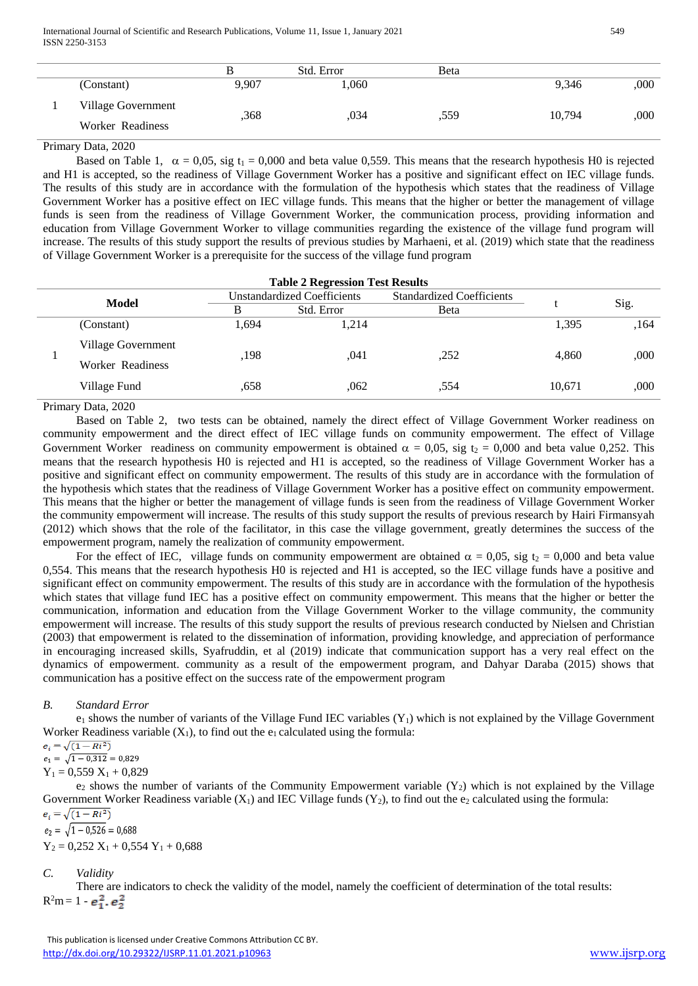|                                        |       | Std. Error | Beta |        |      |
|----------------------------------------|-------|------------|------|--------|------|
| (Constant)                             | 9,907 | $060$ .    |      | 9,346  | ,000 |
| Village Government<br>Worker Readiness | ,368  | .034       | .559 | 10,794 | ,000 |

# Primary Data, 2020

Based on Table 1,  $\alpha = 0.05$ , sig t<sub>1</sub> = 0,000 and beta value 0,559. This means that the research hypothesis H0 is rejected and H1 is accepted, so the readiness of Village Government Worker has a positive and significant effect on IEC village funds. The results of this study are in accordance with the formulation of the hypothesis which states that the readiness of Village Government Worker has a positive effect on IEC village funds. This means that the higher or better the management of village funds is seen from the readiness of Village Government Worker, the communication process, providing information and education from Village Government Worker to village communities regarding the existence of the village fund program will increase. The results of this study support the results of previous studies by Marhaeni, et al. (2019) which state that the readiness of Village Government Worker is a prerequisite for the success of the village fund program."

| <b>Table 2 Regression Test Results</b> |                    |                                    |            |                                  |        |      |
|----------------------------------------|--------------------|------------------------------------|------------|----------------------------------|--------|------|
| <b>Model</b>                           |                    | <b>Unstandardized Coefficients</b> |            | <b>Standardized Coefficients</b> |        |      |
|                                        |                    | В                                  | Std. Error | Beta                             |        | Sig. |
|                                        | (Constant)         | 1,694                              | 1,214      |                                  | 1,395  | .164 |
|                                        | Village Government | ,198                               | .041       | ,252                             | 4.860  | ,000 |
|                                        | Worker Readiness   |                                    |            |                                  |        |      |
|                                        | Village Fund       | .658                               | .062       | .554                             | 10.671 | ,000 |

#### Primary Data, 2020

Based on Table 2, two tests can be obtained, namely the direct effect of Village Government Worker readiness on community empowerment and the direct effect of IEC village funds on community empowerment. The effect of Village Government Worker readiness on community empowerment is obtained  $\alpha = 0.05$ , sig t<sub>2</sub> = 0,000 and beta value 0,252. This means that the research hypothesis H0 is rejected and H1 is accepted, so the readiness of Village Government Worker has a positive and significant effect on community empowerment. The results of this study are in accordance with the formulation of the hypothesis which states that the readiness of Village Government Worker has a positive effect on community empowerment. This means that the higher or better the management of village funds is seen from the readiness of Village Government Worker the community empowerment will increase. The results of this study support the results of previous research by Hairi Firmansyah (2012) which shows that the role of the facilitator, in this case the village government, greatly determines the success of the empowerment program, namely the realization of community empowerment.

For the effect of IEC, village funds on community empowerment are obtained  $\alpha = 0.05$ , sig t<sub>2</sub> = 0,000 and beta value 0,554. This means that the research hypothesis H0 is rejected and H1 is accepted, so the IEC village funds have a positive and significant effect on community empowerment. The results of this study are in accordance with the formulation of the hypothesis which states that village fund IEC has a positive effect on community empowerment. This means that the higher or better the communication, information and education from the Village Government Worker to the village community, the community empowerment will increase. The results of this study support the results of previous research conducted by Nielsen and Christian (2003) that empowerment is related to the dissemination of information, providing knowledge, and appreciation of performance in encouraging increased skills, Syafruddin, et al (2019) indicate that communication support has a very real effect on the dynamics of empowerment. community as a result of the empowerment program, and Dahyar Daraba (2015) shows that communication has a positive effect on the success rate of the empowerment program.

# *B. Standard Error*

 $e_1$  shows the number of variants of the Village Fund IEC variables  $(Y_1)$  which is not explained by the Village Government Worker Readiness variable  $(X_1)$ , to find out the  $e_1$  calculated using the formula:

 $e_i = \sqrt{(1 - Ri^2)}$ 

 $e_1 = \sqrt{1 - 0.312} = 0.829$  $Y_1 = 0.559 X_1 + 0.829$ 

 $e_2$  shows the number of variants of the Community Empowerment variable  $(Y_2)$  which is not explained by the Village Government Worker Readiness variable  $(X_1)$  and IEC Village funds  $(Y_2)$ , to find out the  $e_2$  calculated using the formula:  $e_i = \sqrt{(1 - Ri^2)}$ 

 $e_2 = \sqrt{1 - 0.526} = 0.688$  $Y_2 = 0,252 X_1 + 0,554 Y_1 + 0,688$ 

# *C. Validity*

There are indicators to check the validity of the model, namely the coefficient of determination of the total results:  $R^2m = 1$  -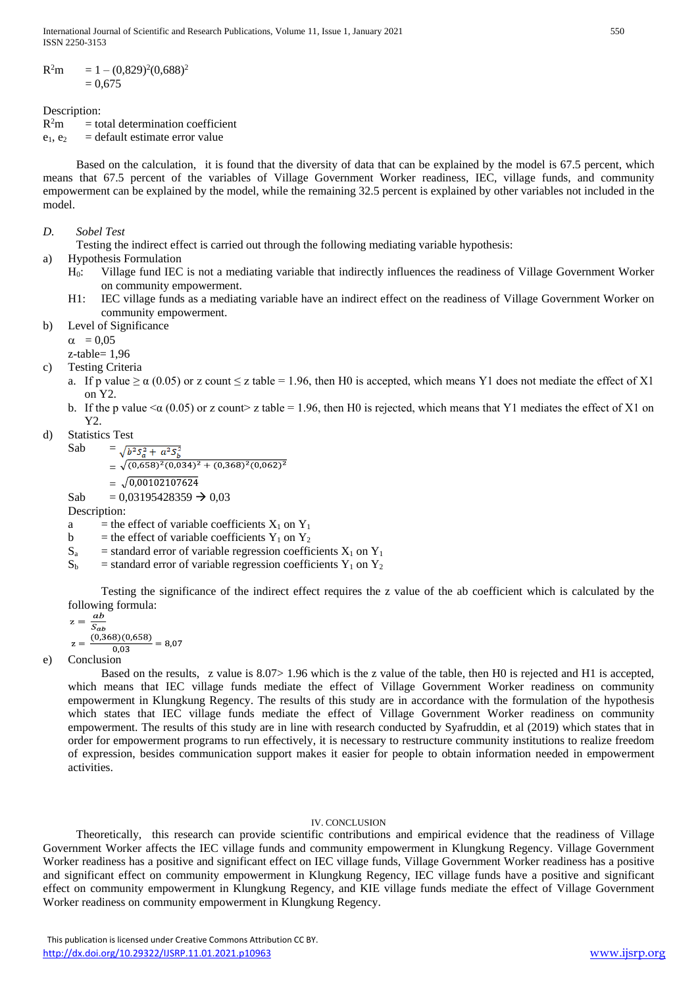International Journal of Scientific and Research Publications, Volume 11, Issue 1, January 2021 550 ISSN 2250-3153

 $R^2m$  $2^{\circ}$ m = 1 – (0,829)<sup>2</sup>(0,688)<sup>2</sup>  $= 0.675$ 

Description:

 $R^2m$  $=$  total determination coefficient  $e_1, e_2$  = default estimate error value

Based on the calculation, it is found that the diversity of data that can be explained by the model is 67.5 percent, which means that 67.5 percent of the variables of Village Government Worker readiness, IEC, village funds, and community empowerment can be explained by the model, while the remaining 32.5 percent is explained by other variables not included in the model.

# *D. Sobel Test*

Testing the indirect effect is carried out through the following mediating variable hypothesis:

a) Hypothesis Formulation

- H0: Village fund IEC is not a mediating variable that indirectly influences the readiness of Village Government Worker on community empowerment.
- H1: IEC village funds as a mediating variable have an indirect effect on the readiness of Village Government Worker on community empowerment.
- b) Level of Significance

 $\alpha$  = 0,05

 $z$ -table=  $1.96$ 

- c) Testing Criteria
	- a. If p value  $\ge \alpha$  (0.05) or z count  $\le z$  table = 1.96, then H0 is accepted, which means Y1 does not mediate the effect of X1 on Y2.
	- b. If the p value  $\leq \alpha$  (0.05) or z count> z table = 1.96, then H0 is rejected, which means that Y1 mediates the effect of X1 on Y2.
- d) Statistics Test

Sab =  $\sqrt{b^2S_a^2 + a^2S_b^2}$  $=\sqrt{(0.658)^2(0.034)^2+(0.368)^2(0.062)^2}$  $=$   $\sqrt{0.00102107624}$ 

Sab =  $0,03195428359 \rightarrow 0,03$ 

Description:

a = the effect of variable coefficients  $X_1$  on  $Y_1$ 

- b = the effect of variable coefficients  $Y_1$  on  $Y_2$
- $S_a$  = standard error of variable regression coefficients  $X_1$  on  $Y_1$
- $S_b$  = standard error of variable regression coefficients Y<sub>1</sub> on Y<sub>2</sub>

Testing the significance of the indirect effect requires the z value of the ab coefficient which is calculated by the following formula:

$$
z = \frac{ab}{S_{ab}}
$$
  

$$
z = \frac{(0,368)(0,658)}{0,03} = 8,07
$$

e) Conclusion

Based on the results,  $\bar{z}$  value is  $8.07 > 1.96$  which is the z value of the table, then H0 is rejected and H1 is accepted, which means that IEC village funds mediate the effect of Village Government Worker readiness on community empowerment in Klungkung Regency. The results of this study are in accordance with the formulation of the hypothesis which states that IEC village funds mediate the effect of Village Government Worker readiness on community empowerment. The results of this study are in line with research conducted by Syafruddin, et al (2019) which states that in order for empowerment programs to run effectively, it is necessary to restructure community institutions to realize freedom of expression, besides communication support makes it easier for people to obtain information needed in empowerment activities.

# IV. CONCLUSION

Theoretically, this research can provide scientific contributions and empirical evidence that the readiness of Village Government Worker affects the IEC village funds and community empowerment in Klungkung Regency. Village Government Worker readiness has a positive and significant effect on IEC village funds, Village Government Worker readiness has a positive and significant effect on community empowerment in Klungkung Regency, IEC village funds have a positive and significant effect on community empowerment in Klungkung Regency, and KIE village funds mediate the effect of Village Government Worker readiness on community empowerment in Klungkung Regency.